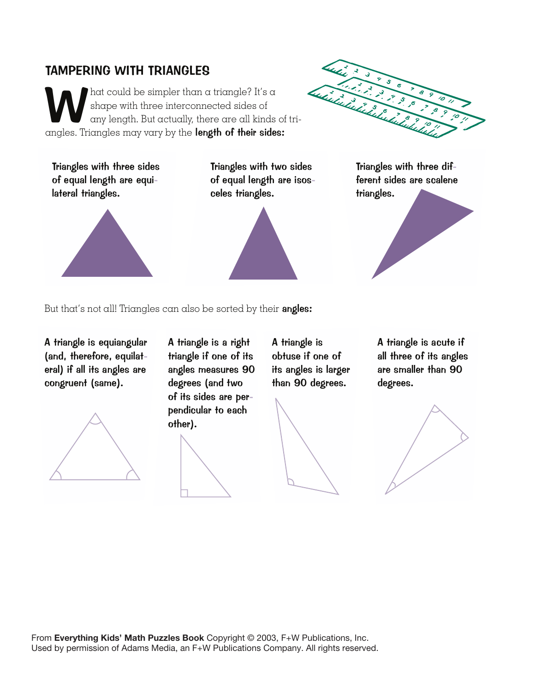## TAMPERING WITH TRIANGLES

'hat could be simpler than a triangle? It's a shape with three interconnected sides of any length. But actually, there are all kinds of triangles. Triangles may vary by the length of their sides:

Triangles with three sides of equal length are equilateral triangles.

Triangles with two sides of equal length are isosceles triangles.



Triangles with three different sides are scalene triangles.



But that's not all! Triangles can also be sorted by their angles:

A triangle is equiangular (and, therefore, equilateral) if all its angles are congruent (same).



A triangle is a right triangle if one of its angles measures 90 degrees (and two of its sides are perpendicular to each other).

A triangle is obtuse if one of its angles is larger than 90 degrees.



A triangle is acute if all three of its angles are smaller than 90 degrees.



From **Everything Kids' Math Puzzles Book** Copyright © 2003, F+W Publications, Inc. Used by permission of Adams Media, an F+W Publications Company. All rights reserved.